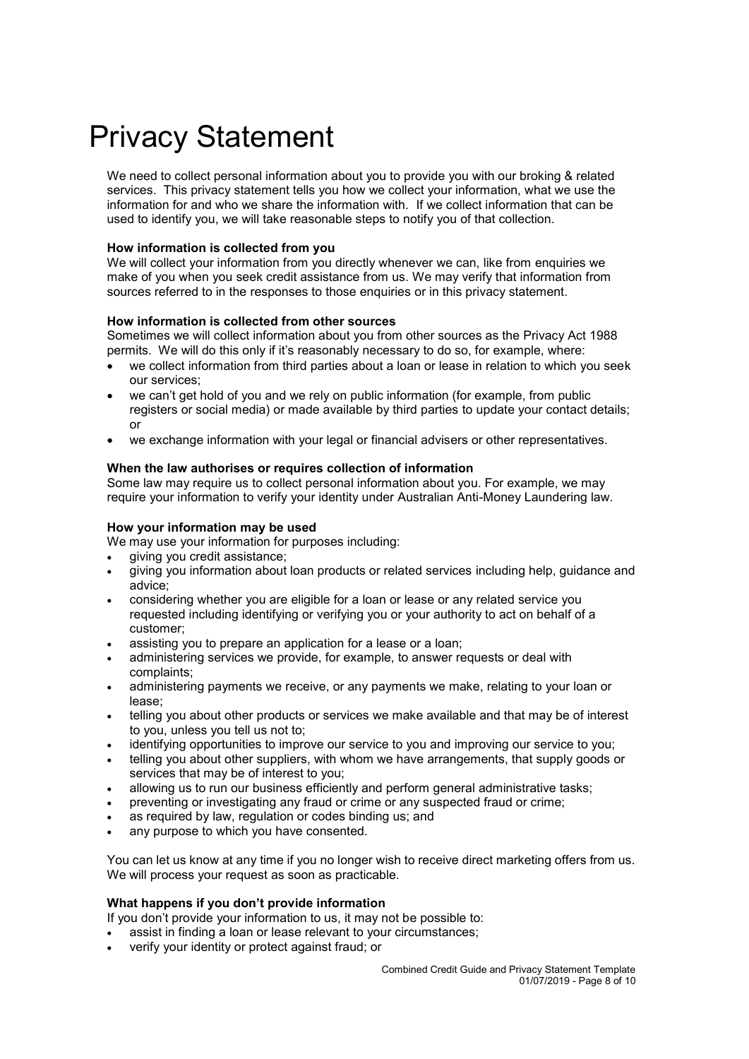# Privacy Statement

We need to collect personal information about you to provide you with our broking & related services. This privacy statement tells you how we collect your information, what we use the information for and who we share the information with. If we collect information that can be used to identify you, we will take reasonable steps to notify you of that collection.

# **How information is collected from you**

We will collect your information from you directly whenever we can, like from enquiries we make of you when you seek credit assistance from us. We may verify that information from sources referred to in the responses to those enquiries or in this privacy statement.

## **How information is collected from other sources**

Sometimes we will collect information about you from other sources as the Privacy Act 1988 permits. We will do this only if it's reasonably necessary to do so, for example, where:

- we collect information from third parties about a loan or lease in relation to which you seek our services;
- we can't get hold of you and we rely on public information (for example, from public registers or social media) or made available by third parties to update your contact details; or
- we exchange information with your legal or financial advisers or other representatives.

## **When the law authorises or requires collection of information**

Some law may require us to collect personal information about you. For example, we may require your information to verify your identity under Australian Anti-Money Laundering law.

## **How your information may be used**

We may use your information for purposes including:

- giving you credit assistance;
- giving you information about loan products or related services including help, guidance and advice;
- considering whether you are eligible for a loan or lease or any related service you requested including identifying or verifying you or your authority to act on behalf of a customer;
- assisting you to prepare an application for a lease or a loan;
- administering services we provide, for example, to answer requests or deal with complaints;
- administering payments we receive, or any payments we make, relating to your loan or lease;
- telling you about other products or services we make available and that may be of interest to you, unless you tell us not to;
- identifying opportunities to improve our service to you and improving our service to you;
- telling you about other suppliers, with whom we have arrangements, that supply goods or services that may be of interest to you;
- allowing us to run our business efficiently and perform general administrative tasks;
- preventing or investigating any fraud or crime or any suspected fraud or crime;
- as required by law, regulation or codes binding us; and
- any purpose to which you have consented.

You can let us know at any time if you no longer wish to receive direct marketing offers from us. We will process your request as soon as practicable.

#### **What happens if you don't provide information**

If you don't provide your information to us, it may not be possible to:

- assist in finding a loan or lease relevant to your circumstances;
- verify your identity or protect against fraud; or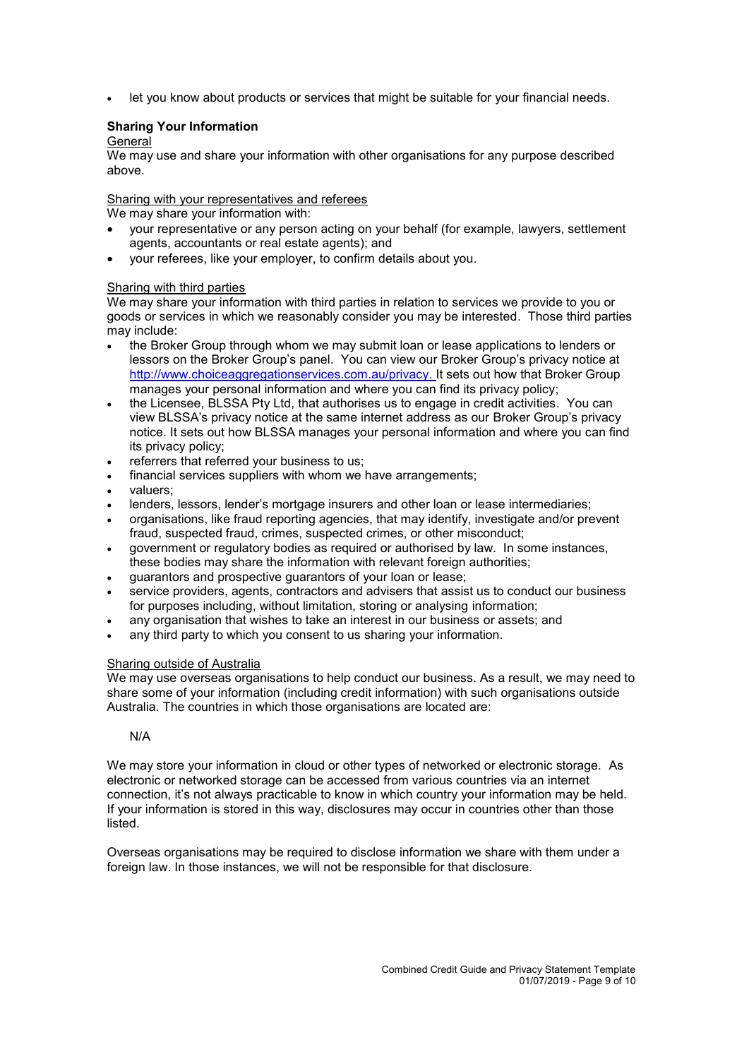let you know about products or services that might be suitable for your financial needs.

# **Sharing Your Information**

#### **General**

We may use and share your information with other organisations for any purpose described above.

# Sharing with your representatives and referees

We may share your information with:

- your representative or any person acting on your behalf (for example, lawyers, settlement agents, accountants or real estate agents); and
- your referees, like your employer, to confirm details about you.

## Sharing with third parties

We may share your information with third parties in relation to services we provide to you or goods or services in which we reasonably consider you may be interested. Those third parties may include:

- the Broker Group through whom we may submit loan or lease applications to lenders or lessors on the Broker Group's panel. You can view our Broker Group's privacy notice at [http://www.choiceaggregationservices.com.au/privacy.](http://www.choiceaggregationservices.com.au/privacy) It sets out how that Broker Group manages your personal information and where you can find its privacy policy;
- the Licensee, BLSSA Pty Ltd, that authorises us to engage in credit activities. You can view BLSSA's privacy notice at the same internet address as our Broker Group's privacy notice. It sets out how BLSSA manages your personal information and where you can find its privacy policy;
- referrers that referred your business to us;
- financial services suppliers with whom we have arrangements;
- valuers;
- lenders, lessors, lender's mortgage insurers and other loan or lease intermediaries;
- organisations, like fraud reporting agencies, that may identify, investigate and/or prevent fraud, suspected fraud, crimes, suspected crimes, or other misconduct;
- government or regulatory bodies as required or authorised by law. In some instances, these bodies may share the information with relevant foreign authorities;
- guarantors and prospective guarantors of your loan or lease;
- service providers, agents, contractors and advisers that assist us to conduct our business for purposes including, without limitation, storing or analysing information;
- any organisation that wishes to take an interest in our business or assets; and
- any third party to which you consent to us sharing your information.

#### Sharing outside of Australia

We may use overseas organisations to help conduct our business. As a result, we may need to share some of your information (including credit information) with such organisations outside Australia. The countries in which those organisations are located are:

#### N/A

We may store your information in cloud or other types of networked or electronic storage. As electronic or networked storage can be accessed from various countries via an internet connection, it's not always practicable to know in which country your information may be held. If your information is stored in this way, disclosures may occur in countries other than those listed.

Overseas organisations may be required to disclose information we share with them under a foreign law. In those instances, we will not be responsible for that disclosure.